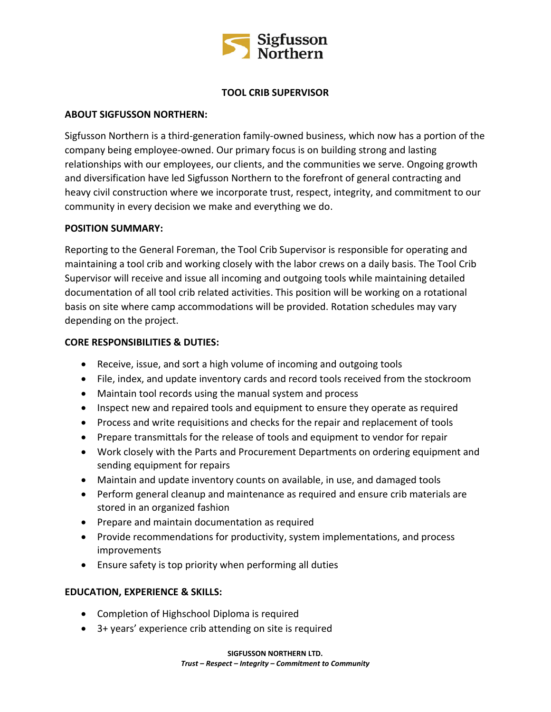

# **TOOL CRIB SUPERVISOR**

### **ABOUT SIGFUSSON NORTHERN:**

Sigfusson Northern is a third-generation family-owned business, which now has a portion of the company being employee-owned. Our primary focus is on building strong and lasting relationships with our employees, our clients, and the communities we serve. Ongoing growth and diversification have led Sigfusson Northern to the forefront of general contracting and heavy civil construction where we incorporate trust, respect, integrity, and commitment to our community in every decision we make and everything we do.

#### **POSITION SUMMARY:**

Reporting to the General Foreman, the Tool Crib Supervisor is responsible for operating and maintaining a tool crib and working closely with the labor crews on a daily basis. The Tool Crib Supervisor will receive and issue all incoming and outgoing tools while maintaining detailed documentation of all tool crib related activities. This position will be working on a rotational basis on site where camp accommodations will be provided. Rotation schedules may vary depending on the project.

### **CORE RESPONSIBILITIES & DUTIES:**

- Receive, issue, and sort a high volume of incoming and outgoing tools
- File, index, and update inventory cards and record tools received from the stockroom
- Maintain tool records using the manual system and process
- Inspect new and repaired tools and equipment to ensure they operate as required
- Process and write requisitions and checks for the repair and replacement of tools
- Prepare transmittals for the release of tools and equipment to vendor for repair
- Work closely with the Parts and Procurement Departments on ordering equipment and sending equipment for repairs
- Maintain and update inventory counts on available, in use, and damaged tools
- Perform general cleanup and maintenance as required and ensure crib materials are stored in an organized fashion
- Prepare and maintain documentation as required
- Provide recommendations for productivity, system implementations, and process improvements
- Ensure safety is top priority when performing all duties

# **EDUCATION, EXPERIENCE & SKILLS:**

- Completion of Highschool Diploma is required
- 3+ years' experience crib attending on site is required

**SIGFUSSON NORTHERN LTD.**

*Trust – Respect – Integrity – Commitment to Community*